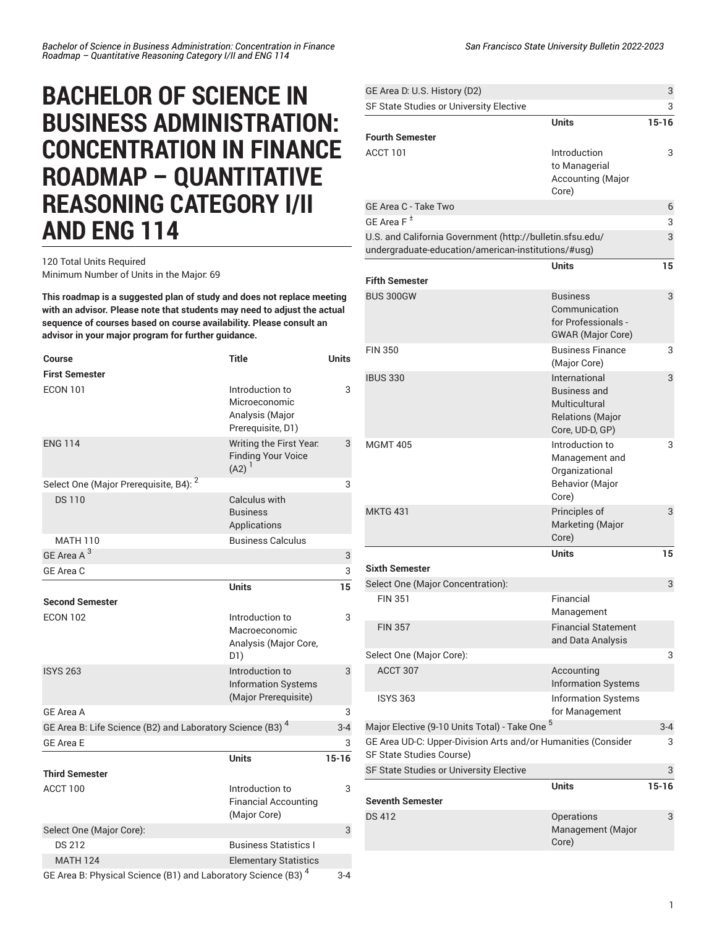## **BACHELOR OF SCIENCE IN BUSINESS ADMINISTRATION: CONCENTRATION IN FINANCE ROADMAP – QUANTITATIVE REASONING CATEGORY I/II AND ENG 114**

120 Total Units Required Minimum Number of Units in the Major: 69

**This roadmap is a suggested plan of study and does not replace meeting with an advisor. Please note that students may need to adjust the actual sequence of courses based on course availability. Please consult an advisor in your major program for further guidance.**

| <b>Course</b>                                                             | <b>Title</b>                                                             | <b>Units</b> |
|---------------------------------------------------------------------------|--------------------------------------------------------------------------|--------------|
| <b>First Semester</b>                                                     |                                                                          |              |
| <b>ECON 101</b>                                                           | Introduction to<br>Microeconomic<br>Analysis (Major<br>Prerequisite, D1) | 3            |
| <b>ENG 114</b>                                                            | Writing the First Year.<br><b>Finding Your Voice</b><br>$(A2)^1$         | 3            |
| Select One (Major Prerequisite, B4): <sup>2</sup>                         |                                                                          | 3            |
| <b>DS110</b>                                                              | Calculus with<br><b>Business</b><br>Applications                         |              |
| <b>MATH 110</b>                                                           | <b>Business Calculus</b>                                                 |              |
| GE Area A <sup>3</sup>                                                    |                                                                          | 3            |
| GE Area C                                                                 |                                                                          | 3            |
|                                                                           | <b>Units</b>                                                             | 15           |
| <b>Second Semester</b>                                                    |                                                                          |              |
| <b>ECON 102</b>                                                           | Introduction to<br>Macroeconomic<br>Analysis (Major Core,<br>D1)         | 3            |
| <b>ISYS 263</b>                                                           | Introduction to<br><b>Information Systems</b><br>(Major Prerequisite)    | 3            |
| GE Area A                                                                 |                                                                          | 3            |
| GE Area B: Life Science (B2) and Laboratory Science (B3) <sup>4</sup>     |                                                                          | $3 - 4$      |
| <b>GE Area E</b>                                                          |                                                                          | 3            |
|                                                                           | <b>Units</b>                                                             | $15 - 16$    |
| <b>Third Semester</b>                                                     |                                                                          |              |
| ACCT 100                                                                  | Introduction to<br><b>Financial Accounting</b><br>(Major Core)           | 3            |
| Select One (Major Core):                                                  |                                                                          | 3            |
| <b>DS 212</b>                                                             | <b>Business Statistics I</b>                                             |              |
| <b>MATH 124</b>                                                           | <b>Elementary Statistics</b>                                             |              |
| GE Area B: Physical Science (B1) and Laboratory Science (B3) <sup>4</sup> |                                                                          | $3 - 4$      |

| GE Area D: U.S. History (D2)                                                                                     |                                                                                                     | 3         |
|------------------------------------------------------------------------------------------------------------------|-----------------------------------------------------------------------------------------------------|-----------|
| SF State Studies or University Elective                                                                          |                                                                                                     | 3         |
|                                                                                                                  | <b>Units</b>                                                                                        | $15 - 16$ |
| <b>Fourth Semester</b>                                                                                           |                                                                                                     |           |
| <b>ACCT 101</b>                                                                                                  | Introduction<br>to Managerial<br><b>Accounting (Major</b><br>Core)                                  | 3         |
| GE Area C - Take Two                                                                                             |                                                                                                     | 6         |
| GE Area F <sup>±</sup>                                                                                           |                                                                                                     | 3         |
| U.S. and California Government (http://bulletin.sfsu.edu/<br>undergraduate-education/american-institutions/#usg) |                                                                                                     | 3         |
|                                                                                                                  | <b>Units</b>                                                                                        | 15        |
| <b>Fifth Semester</b>                                                                                            |                                                                                                     |           |
| <b>BUS 300GW</b>                                                                                                 | <b>Business</b><br>Communication<br>for Professionals -<br><b>GWAR</b> (Major Core)                 | 3         |
| <b>FIN 350</b>                                                                                                   | <b>Business Finance</b><br>(Major Core)                                                             | 3         |
| <b>IBUS 330</b>                                                                                                  | International<br><b>Business and</b><br>Multicultural<br><b>Relations (Major</b><br>Core, UD-D, GP) | 3         |
| <b>MGMT 405</b>                                                                                                  | Introduction to<br>Management and<br>Organizational<br><b>Behavior (Major</b><br>Core)              | 3         |
| <b>MKTG 431</b>                                                                                                  | Principles of<br>Marketing (Major<br>Core)                                                          | 3         |
|                                                                                                                  | <b>Units</b>                                                                                        | 15        |
| <b>Sixth Semester</b>                                                                                            |                                                                                                     |           |
| Select One (Major Concentration):                                                                                |                                                                                                     | 3         |
| <b>FIN 351</b>                                                                                                   | Financial<br>Management                                                                             |           |
| <b>FIN 357</b>                                                                                                   | <b>Financial Statement</b><br>and Data Analysis                                                     |           |
| Select One (Major Core):                                                                                         |                                                                                                     | 3         |
| ACCT 307                                                                                                         | Accounting<br><b>Information Systems</b>                                                            |           |
| <b>ISYS 363</b>                                                                                                  | <b>Information Systems</b><br>for Management                                                        |           |
| Major Elective (9-10 Units Total) - Take One <sup>5</sup>                                                        |                                                                                                     | 3-4       |
| GE Area UD-C: Upper-Division Arts and/or Humanities (Consider<br>SF State Studies Course)                        |                                                                                                     | 3         |
| SF State Studies or University Elective                                                                          |                                                                                                     | 3         |
| <b>Seventh Semester</b>                                                                                          | <b>Units</b>                                                                                        | 15-16     |
| <b>DS 412</b>                                                                                                    | Operations<br>Management (Major<br>Core)                                                            | 3         |